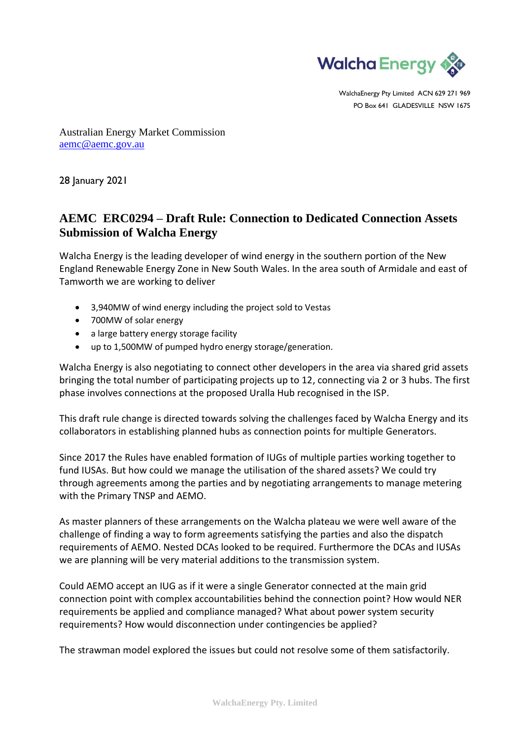

WalchaEnergy Pty Limited ACN 629 271 969 PO Box 641 GLADESVILLE NSW 1675

Australian Energy Market Commission [aemc@aemc.gov.au](mailto:aemc@aemc.gov.au)

28 January 2021

## **AEMC ERC0294 – Draft Rule: Connection to Dedicated Connection Assets Submission of Walcha Energy**

Walcha Energy is the leading developer of wind energy in the southern portion of the New England Renewable Energy Zone in New South Wales. In the area south of Armidale and east of Tamworth we are working to deliver

- 3,940MW of wind energy including the project sold to Vestas
- 700MW of solar energy
- a large battery energy storage facility
- up to 1,500MW of pumped hydro energy storage/generation.

Walcha Energy is also negotiating to connect other developers in the area via shared grid assets bringing the total number of participating projects up to 12, connecting via 2 or 3 hubs. The first phase involves connections at the proposed Uralla Hub recognised in the ISP.

This draft rule change is directed towards solving the challenges faced by Walcha Energy and its collaborators in establishing planned hubs as connection points for multiple Generators.

Since 2017 the Rules have enabled formation of IUGs of multiple parties working together to fund IUSAs. But how could we manage the utilisation of the shared assets? We could try through agreements among the parties and by negotiating arrangements to manage metering with the Primary TNSP and AEMO.

As master planners of these arrangements on the Walcha plateau we were well aware of the challenge of finding a way to form agreements satisfying the parties and also the dispatch requirements of AEMO. Nested DCAs looked to be required. Furthermore the DCAs and IUSAs we are planning will be very material additions to the transmission system.

Could AEMO accept an IUG as if it were a single Generator connected at the main grid connection point with complex accountabilities behind the connection point? How would NER requirements be applied and compliance managed? What about power system security requirements? How would disconnection under contingencies be applied?

The strawman model explored the issues but could not resolve some of them satisfactorily.